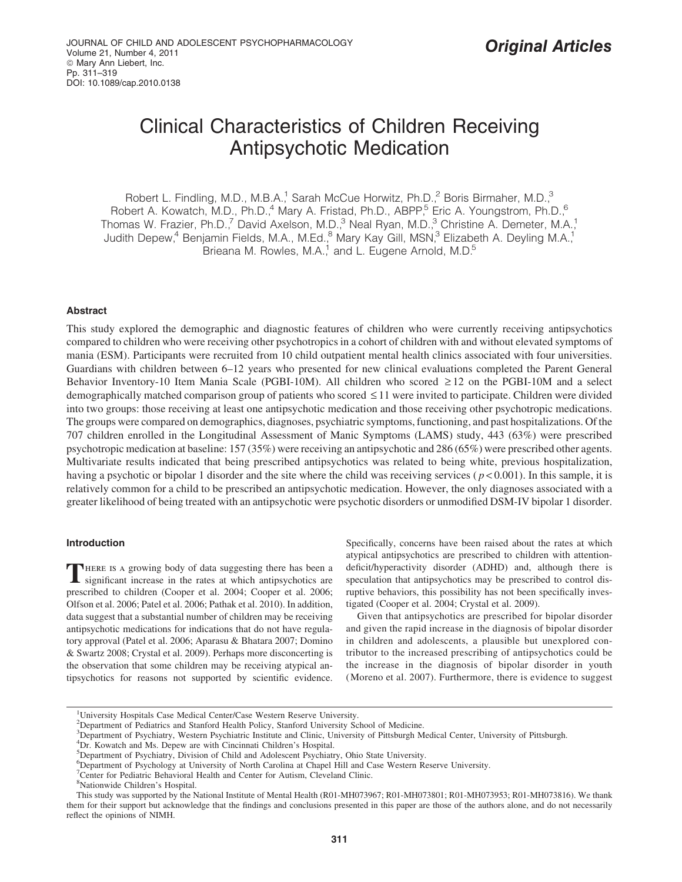# Clinical Characteristics of Children Receiving Antipsychotic Medication

Robert L. Findling, M.D., M.B.A.,<sup>1</sup> Sarah McCue Horwitz, Ph.D.,<sup>2</sup> Boris Birmaher, M.D.,<sup>3</sup> Robert A. Kowatch, M.D., Ph.D.,<sup>4</sup> Mary A. Fristad, Ph.D., ABPP,<sup>5</sup> Eric A. Youngstrom, Ph.D.,<sup>6</sup> Thomas W. Frazier, Ph.D.,<sup>7</sup> David Axelson, M.D.,<sup>3</sup> Neal Ryan, M.D.,<sup>3</sup> Christine A. Demeter, M.A.,<sup>1</sup> Judith Depew,<sup>4</sup> Benjamin Fields, M.A., M.Ed.,<sup>8</sup> Mary Kay Gill, MSN,<sup>3</sup> Elizabeth A. Deyling M.A.,<sup>1</sup> Brieana M. Rowles, M.A.<sup>1</sup> and L. Eugene Arnold, M.D.<sup>5</sup>

# Abstract

This study explored the demographic and diagnostic features of children who were currently receiving antipsychotics compared to children who were receiving other psychotropics in a cohort of children with and without elevated symptoms of mania (ESM). Participants were recruited from 10 child outpatient mental health clinics associated with four universities. Guardians with children between 6–12 years who presented for new clinical evaluations completed the Parent General Behavior Inventory-10 Item Mania Scale (PGBI-10M). All children who scored  $\geq 12$  on the PGBI-10M and a select demographically matched comparison group of patients who scored  $\leq 11$  were invited to participate. Children were divided into two groups: those receiving at least one antipsychotic medication and those receiving other psychotropic medications. The groups were compared on demographics, diagnoses, psychiatric symptoms, functioning, and past hospitalizations. Of the 707 children enrolled in the Longitudinal Assessment of Manic Symptoms (LAMS) study, 443 (63%) were prescribed psychotropic medication at baseline: 157 (35%) were receiving an antipsychotic and 286 (65%) were prescribed other agents. Multivariate results indicated that being prescribed antipsychotics was related to being white, previous hospitalization, having a psychotic or bipolar 1 disorder and the site where the child was receiving services ( $p < 0.001$ ). In this sample, it is relatively common for a child to be prescribed an antipsychotic medication. However, the only diagnoses associated with a greater likelihood of being treated with an antipsychotic were psychotic disorders or unmodified DSM-IV bipolar 1 disorder.

# Introduction

THERE IS A growing body of data suggesting there has been a significant increase in the rates at which antipsychotics are prescribed to children (Cooper et al. 2004; Cooper et al. 2006; Olfson et al. 2006; Patel et al. 2006; Pathak et al. 2010). In addition, data suggest that a substantial number of children may be receiving antipsychotic medications for indications that do not have regulatory approval (Patel et al. 2006; Aparasu & Bhatara 2007; Domino & Swartz 2008; Crystal et al. 2009). Perhaps more disconcerting is the observation that some children may be receiving atypical antipsychotics for reasons not supported by scientific evidence.

Specifically, concerns have been raised about the rates at which atypical antipsychotics are prescribed to children with attentiondeficit/hyperactivity disorder (ADHD) and, although there is speculation that antipsychotics may be prescribed to control disruptive behaviors, this possibility has not been specifically investigated (Cooper et al. 2004; Crystal et al. 2009).

Given that antipsychotics are prescribed for bipolar disorder and given the rapid increase in the diagnosis of bipolar disorder in children and adolescents, a plausible but unexplored contributor to the increased prescribing of antipsychotics could be the increase in the diagnosis of bipolar disorder in youth (Moreno et al. 2007). Furthermore, there is evidence to suggest

<sup>4</sup>Dr. Kowatch and Ms. Depew are with Cincinnati Children's Hospital.

8 Nationwide Children's Hospital.

<sup>&</sup>lt;sup>1</sup>University Hospitals Case Medical Center/Case Western Reserve University.

<sup>&</sup>lt;sup>2</sup>Department of Pediatrics and Stanford Health Policy, Stanford University School of Medicine.

<sup>3</sup> Department of Psychiatry, Western Psychiatric Institute and Clinic, University of Pittsburgh Medical Center, University of Pittsburgh.

<sup>&</sup>lt;sup>5</sup>Department of Psychiatry, Division of Child and Adolescent Psychiatry, Ohio State University.

<sup>6</sup> Department of Psychology at University of North Carolina at Chapel Hill and Case Western Reserve University.

<sup>&</sup>lt;sup>7</sup>Center for Pediatric Behavioral Health and Center for Autism, Cleveland Clinic.

This study was supported by the National Institute of Mental Health (R01-MH073967; R01-MH073801; R01-MH073953; R01-MH073816). We thank them for their support but acknowledge that the findings and conclusions presented in this paper are those of the authors alone, and do not necessarily reflect the opinions of NIMH.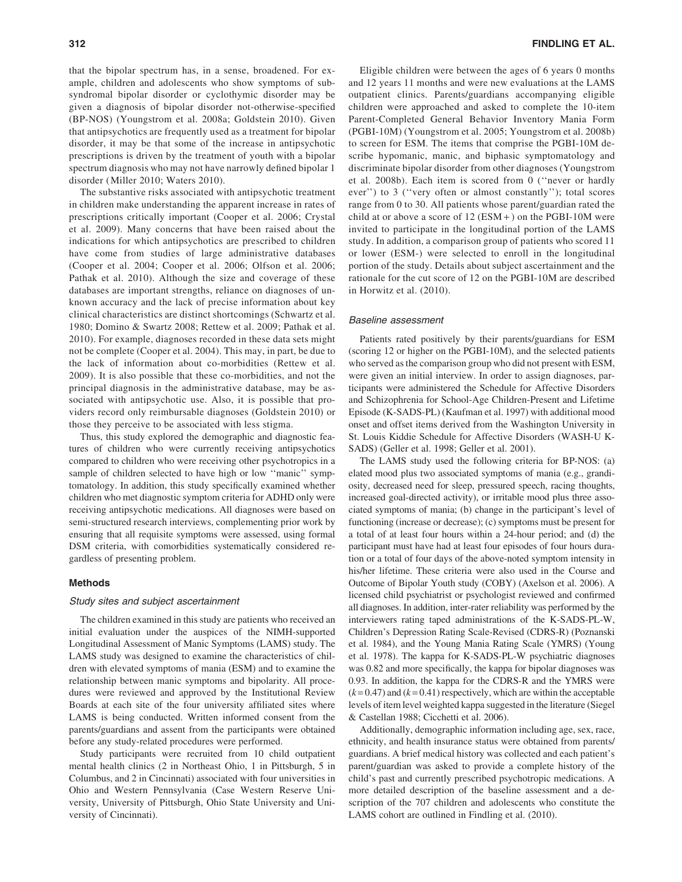that the bipolar spectrum has, in a sense, broadened. For example, children and adolescents who show symptoms of subsyndromal bipolar disorder or cyclothymic disorder may be given a diagnosis of bipolar disorder not-otherwise-specified (BP-NOS) (Youngstrom et al. 2008a; Goldstein 2010). Given that antipsychotics are frequently used as a treatment for bipolar disorder, it may be that some of the increase in antipsychotic prescriptions is driven by the treatment of youth with a bipolar spectrum diagnosis who may not have narrowly defined bipolar 1 disorder (Miller 2010; Waters 2010).

The substantive risks associated with antipsychotic treatment in children make understanding the apparent increase in rates of prescriptions critically important (Cooper et al. 2006; Crystal et al. 2009). Many concerns that have been raised about the indications for which antipsychotics are prescribed to children have come from studies of large administrative databases (Cooper et al. 2004; Cooper et al. 2006; Olfson et al. 2006; Pathak et al. 2010). Although the size and coverage of these databases are important strengths, reliance on diagnoses of unknown accuracy and the lack of precise information about key clinical characteristics are distinct shortcomings (Schwartz et al. 1980; Domino & Swartz 2008; Rettew et al. 2009; Pathak et al. 2010). For example, diagnoses recorded in these data sets might not be complete (Cooper et al. 2004). This may, in part, be due to the lack of information about co-morbidities (Rettew et al. 2009). It is also possible that these co-morbidities, and not the principal diagnosis in the administrative database, may be associated with antipsychotic use. Also, it is possible that providers record only reimbursable diagnoses (Goldstein 2010) or those they perceive to be associated with less stigma.

Thus, this study explored the demographic and diagnostic features of children who were currently receiving antipsychotics compared to children who were receiving other psychotropics in a sample of children selected to have high or low ''manic'' symptomatology. In addition, this study specifically examined whether children who met diagnostic symptom criteria for ADHD only were receiving antipsychotic medications. All diagnoses were based on semi-structured research interviews, complementing prior work by ensuring that all requisite symptoms were assessed, using formal DSM criteria, with comorbidities systematically considered regardless of presenting problem.

## Methods

#### Study sites and subject ascertainment

The children examined in this study are patients who received an initial evaluation under the auspices of the NIMH-supported Longitudinal Assessment of Manic Symptoms (LAMS) study. The LAMS study was designed to examine the characteristics of children with elevated symptoms of mania (ESM) and to examine the relationship between manic symptoms and bipolarity. All procedures were reviewed and approved by the Institutional Review Boards at each site of the four university affiliated sites where LAMS is being conducted. Written informed consent from the parents/guardians and assent from the participants were obtained before any study-related procedures were performed.

Study participants were recruited from 10 child outpatient mental health clinics (2 in Northeast Ohio, 1 in Pittsburgh, 5 in Columbus, and 2 in Cincinnati) associated with four universities in Ohio and Western Pennsylvania (Case Western Reserve University, University of Pittsburgh, Ohio State University and University of Cincinnati).

Eligible children were between the ages of 6 years 0 months and 12 years 11 months and were new evaluations at the LAMS outpatient clinics. Parents/guardians accompanying eligible children were approached and asked to complete the 10-item Parent-Completed General Behavior Inventory Mania Form (PGBI-10M) (Youngstrom et al. 2005; Youngstrom et al. 2008b) to screen for ESM. The items that comprise the PGBI-10M describe hypomanic, manic, and biphasic symptomatology and discriminate bipolar disorder from other diagnoses (Youngstrom et al. 2008b). Each item is scored from 0 (''never or hardly ever'') to 3 (''very often or almost constantly''); total scores range from 0 to 30. All patients whose parent/guardian rated the child at or above a score of  $12$  (ESM +) on the PGBI-10M were invited to participate in the longitudinal portion of the LAMS study. In addition, a comparison group of patients who scored 11 or lower (ESM-) were selected to enroll in the longitudinal portion of the study. Details about subject ascertainment and the rationale for the cut score of 12 on the PGBI-10M are described in Horwitz et al. (2010).

#### Baseline assessment

Patients rated positively by their parents/guardians for ESM (scoring 12 or higher on the PGBI-10M), and the selected patients who served as the comparison group who did not present with ESM, were given an initial interview. In order to assign diagnoses, participants were administered the Schedule for Affective Disorders and Schizophrenia for School-Age Children-Present and Lifetime Episode (K-SADS-PL) (Kaufman et al. 1997) with additional mood onset and offset items derived from the Washington University in St. Louis Kiddie Schedule for Affective Disorders (WASH-U K-SADS) (Geller et al. 1998; Geller et al. 2001).

The LAMS study used the following criteria for BP-NOS: (a) elated mood plus two associated symptoms of mania (e.g., grandiosity, decreased need for sleep, pressured speech, racing thoughts, increased goal-directed activity), or irritable mood plus three associated symptoms of mania; (b) change in the participant's level of functioning (increase or decrease); (c) symptoms must be present for a total of at least four hours within a 24-hour period; and (d) the participant must have had at least four episodes of four hours duration or a total of four days of the above-noted symptom intensity in his/her lifetime. These criteria were also used in the Course and Outcome of Bipolar Youth study (COBY) (Axelson et al. 2006). A licensed child psychiatrist or psychologist reviewed and confirmed all diagnoses. In addition, inter-rater reliability was performed by the interviewers rating taped administrations of the K-SADS-PL-W, Children's Depression Rating Scale-Revised (CDRS-R) (Poznanski et al. 1984), and the Young Mania Rating Scale (YMRS) (Young et al. 1978). The kappa for K-SADS-PL-W psychiatric diagnoses was 0.82 and more specifically, the kappa for bipolar diagnoses was 0.93. In addition, the kappa for the CDRS-R and the YMRS were  $(k=0.47)$  and  $(k=0.41)$  respectively, which are within the acceptable levels of item level weighted kappa suggested in the literature (Siegel & Castellan 1988; Cicchetti et al. 2006).

Additionally, demographic information including age, sex, race, ethnicity, and health insurance status were obtained from parents/ guardians. A brief medical history was collected and each patient's parent/guardian was asked to provide a complete history of the child's past and currently prescribed psychotropic medications. A more detailed description of the baseline assessment and a description of the 707 children and adolescents who constitute the LAMS cohort are outlined in Findling et al. (2010).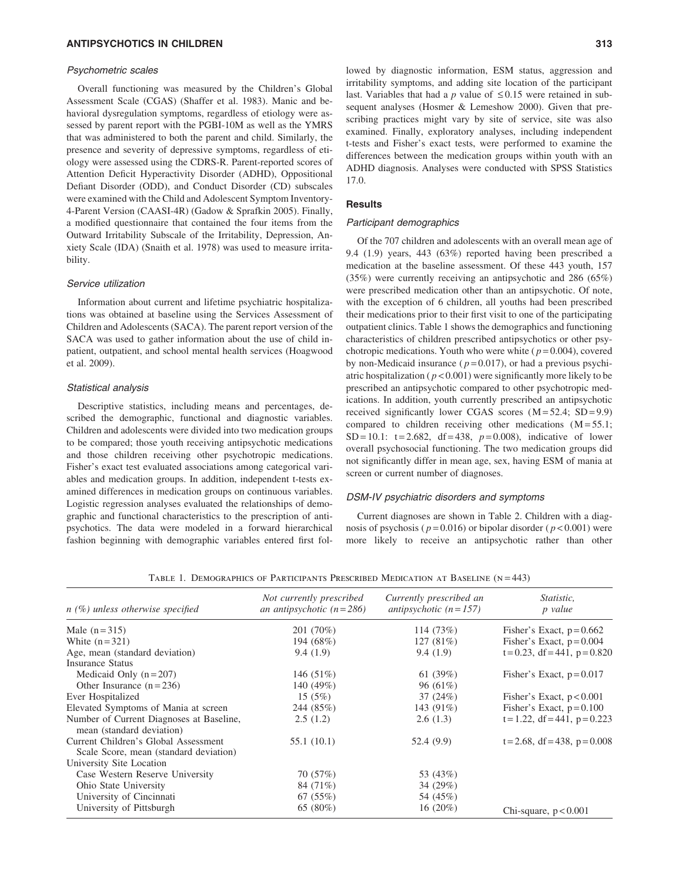#### Psychometric scales

Overall functioning was measured by the Children's Global Assessment Scale (CGAS) (Shaffer et al. 1983). Manic and behavioral dysregulation symptoms, regardless of etiology were assessed by parent report with the PGBI-10M as well as the YMRS that was administered to both the parent and child. Similarly, the presence and severity of depressive symptoms, regardless of etiology were assessed using the CDRS-R. Parent-reported scores of Attention Deficit Hyperactivity Disorder (ADHD), Oppositional Defiant Disorder (ODD), and Conduct Disorder (CD) subscales were examined with the Child and Adolescent Symptom Inventory-4-Parent Version (CAASI-4R) (Gadow & Sprafkin 2005). Finally, a modified questionnaire that contained the four items from the Outward Irritability Subscale of the Irritability, Depression, Anxiety Scale (IDA) (Snaith et al. 1978) was used to measure irritability.

#### Service utilization

Information about current and lifetime psychiatric hospitalizations was obtained at baseline using the Services Assessment of Children and Adolescents (SACA). The parent report version of the SACA was used to gather information about the use of child inpatient, outpatient, and school mental health services (Hoagwood et al. 2009).

#### Statistical analysis

Descriptive statistics, including means and percentages, described the demographic, functional and diagnostic variables. Children and adolescents were divided into two medication groups to be compared; those youth receiving antipsychotic medications and those children receiving other psychotropic medications. Fisher's exact test evaluated associations among categorical variables and medication groups. In addition, independent t-tests examined differences in medication groups on continuous variables. Logistic regression analyses evaluated the relationships of demographic and functional characteristics to the prescription of antipsychotics. The data were modeled in a forward hierarchical fashion beginning with demographic variables entered first followed by diagnostic information, ESM status, aggression and irritability symptoms, and adding site location of the participant last. Variables that had a p value of  $\leq 0.15$  were retained in subsequent analyses (Hosmer & Lemeshow 2000). Given that prescribing practices might vary by site of service, site was also examined. Finally, exploratory analyses, including independent t-tests and Fisher's exact tests, were performed to examine the differences between the medication groups within youth with an ADHD diagnosis. Analyses were conducted with SPSS Statistics 17.0.

## **Results**

#### Participant demographics

Of the 707 children and adolescents with an overall mean age of 9.4 (1.9) years, 443 (63%) reported having been prescribed a medication at the baseline assessment. Of these 443 youth, 157 (35%) were currently receiving an antipsychotic and 286 (65%) were prescribed medication other than an antipsychotic. Of note, with the exception of 6 children, all youths had been prescribed their medications prior to their first visit to one of the participating outpatient clinics. Table 1 shows the demographics and functioning characteristics of children prescribed antipsychotics or other psychotropic medications. Youth who were white ( $p = 0.004$ ), covered by non-Medicaid insurance ( $p = 0.017$ ), or had a previous psychiatric hospitalization ( $p < 0.001$ ) were significantly more likely to be prescribed an antipsychotic compared to other psychotropic medications. In addition, youth currently prescribed an antipsychotic received significantly lower CGAS scores  $(M = 52.4; SD = 9.9)$ compared to children receiving other medications  $(M = 55.1;$ SD = 10.1:  $t = 2.682$ ,  $df = 438$ ,  $p = 0.008$ ), indicative of lower overall psychosocial functioning. The two medication groups did not significantly differ in mean age, sex, having ESM of mania at screen or current number of diagnoses.

## DSM-IV psychiatric disorders and symptoms

Current diagnoses are shown in Table 2. Children with a diagnosis of psychosis ( $p = 0.016$ ) or bipolar disorder ( $p < 0.001$ ) were more likely to receive an antipsychotic rather than other

TABLE 1. DEMOGRAPHICS OF PARTICIPANTS PRESCRIBED MEDICATION AT BASELINE  $(N = 443)$ 

| $n$ (%) unless otherwise specified                                             | Not currently prescribed<br>an antipsychotic $(n=286)$ | Currently prescribed an<br>antipsychotic $(n=157)$ | <i>Statistic.</i><br>p value          |
|--------------------------------------------------------------------------------|--------------------------------------------------------|----------------------------------------------------|---------------------------------------|
| Male $(n=315)$                                                                 | 201 (70%)                                              | 114(73%)                                           | Fisher's Exact, $p = 0.662$           |
| White $(n=321)$                                                                | 194 (68%)                                              | 127(81%)                                           | Fisher's Exact, $p = 0.004$           |
| Age, mean (standard deviation)                                                 | 9.4(1.9)                                               | 9.4(1.9)                                           | $t = 0.23$ , df = 441, p = 0.820      |
| Insurance Status                                                               |                                                        |                                                    |                                       |
| Medicaid Only $(n=207)$                                                        | 146 $(51\%)$                                           | 61 $(39%)$                                         | Fisher's Exact, $p = 0.017$           |
| Other Insurance $(n=236)$                                                      | 140 (49%)                                              | $96(61\%)$                                         |                                       |
| Ever Hospitalized                                                              | 15(5%)                                                 | 37(24%)                                            | Fisher's Exact, $p < 0.001$           |
| Elevated Symptoms of Mania at screen                                           | 244 (85%)                                              | 143 $(91\%)$                                       | Fisher's Exact, $p = 0.100$           |
| Number of Current Diagnoses at Baseline,<br>mean (standard deviation)          | 2.5(1.2)                                               | 2.6(1.3)                                           | $t = 1.22$ , $df = 441$ , $p = 0.223$ |
| Current Children's Global Assessment<br>Scale Score, mean (standard deviation) | 55.1(10.1)                                             | 52.4 (9.9)                                         | $t = 2.68$ , df = 438, p = 0.008      |
| University Site Location                                                       |                                                        |                                                    |                                       |
| Case Western Reserve University                                                | 70 (57%)                                               | 53 (43%)                                           |                                       |
| Ohio State University                                                          | 84 (71%)                                               | 34 $(29%)$                                         |                                       |
| University of Cincinnati                                                       | 67(55%)                                                | 54 (45%)                                           |                                       |
| University of Pittsburgh                                                       | 65 (80%)                                               | $16(20\%)$                                         | Chi-square, $p < 0.001$               |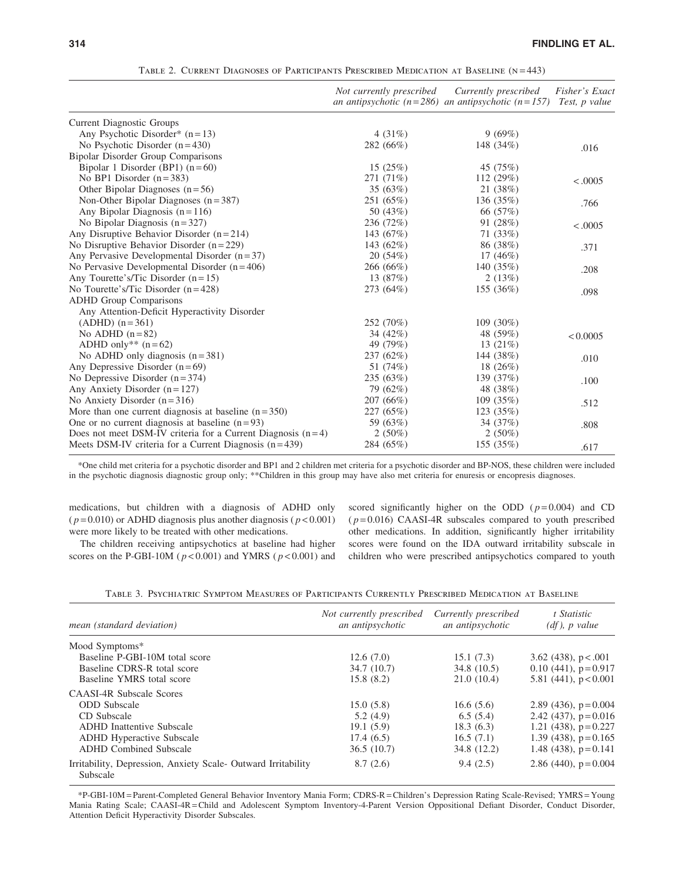|                                                               | Not currently prescribed | Currently prescribed                                      | Fisher's Exact |
|---------------------------------------------------------------|--------------------------|-----------------------------------------------------------|----------------|
|                                                               |                          | an antipsychotic ( $n=286$ ) an antipsychotic ( $n=157$ ) | Test, p value  |
| <b>Current Diagnostic Groups</b>                              |                          |                                                           |                |
| Any Psychotic Disorder* $(n=13)$                              | 4 $(31%)$                | 9(69%)                                                    |                |
| No Psychotic Disorder $(n=430)$                               | 282 (66%)                | 148 (34%)                                                 | .016           |
| Bipolar Disorder Group Comparisons                            |                          |                                                           |                |
| Bipolar 1 Disorder (BP1) $(n=60)$                             | 15(25%)                  | 45 (75%)                                                  |                |
| No BP1 Disorder $(n=383)$                                     | 271 (71%)                | 112 (29%)                                                 | < .0005        |
| Other Bipolar Diagnoses $(n=56)$                              | 35(63%)                  | 21 (38%)                                                  |                |
| Non-Other Bipolar Diagnoses $(n=387)$                         | 251 (65%)                | 136 (35%)                                                 | .766           |
| Any Bipolar Diagnosis $(n=116)$                               | 50 (43%)                 | 66 (57%)                                                  |                |
| No Bipolar Diagnosis $(n=327)$                                | 236 (72%)                | 91 (28%)                                                  | < .0005        |
| Any Disruptive Behavior Disorder $(n=214)$                    | 143 (67%)                | 71 (33%)                                                  |                |
| No Disruptive Behavior Disorder $(n=229)$                     | 143 $(62\%)$             | 86 (38%)                                                  | .371           |
| Any Pervasive Developmental Disorder $(n=37)$                 | 20(54%)                  | 17 $(46%)$                                                |                |
| No Pervasive Developmental Disorder $(n=406)$                 | 266 (66%)                | 140 (35%)                                                 | .208           |
| Any Tourette's/Tic Disorder $(n=15)$                          | 13 (87%)                 | 2(13%)                                                    |                |
| No Tourette's/Tic Disorder $(n=428)$                          | 273 (64%)                | 155 (36%)                                                 | .098           |
| <b>ADHD Group Comparisons</b>                                 |                          |                                                           |                |
| Any Attention-Deficit Hyperactivity Disorder                  |                          |                                                           |                |
| $(ADHD)$ $(n=361)$                                            | 252 (70%)                | $109(30\%)$                                               |                |
| No ADHD $(n=82)$                                              | 34 (42%)                 | 48 (59%)                                                  | < 0.0005       |
| ADHD only** $(n=62)$                                          | 49 (79%)                 | 13 $(21\%)$                                               |                |
| No ADHD only diagnosis $(n=381)$                              | 237 (62%)                | 144 (38%)                                                 | .010           |
| Any Depressive Disorder $(n=69)$                              | 51 (74%)                 | 18 (26%)                                                  |                |
| No Depressive Disorder $(n=374)$                              | 235 (63%)                | 139 (37%)                                                 | .100           |
| Any Anxiety Disorder $(n = 127)$                              | 79 (62%)                 | 48 (38%)                                                  |                |
| No Anxiety Disorder $(n=316)$                                 | 207 (66%)                | 109(35%)                                                  | .512           |
| More than one current diagnosis at baseline $(n=350)$         | 227 (65%)                | 123 (35%)                                                 |                |
| One or no current diagnosis at baseline $(n=93)$              | 59 (63%)                 | 34 (37%)                                                  | .808           |
| Does not meet DSM-IV criteria for a Current Diagnosis $(n=4)$ | $2(50\%)$                | $2(50\%)$                                                 |                |
| Meets DSM-IV criteria for a Current Diagnosis $(n=439)$       | 284 (65%)                | 155 (35%)                                                 | .617           |

Table 2. Current Diagnoses of Participants Prescribed Medication at Baseline (n = 443)

\*One child met criteria for a psychotic disorder and BP1 and 2 children met criteria for a psychotic disorder and BP-NOS, these children were included in the psychotic diagnosis diagnostic group only; \*\*Children in this group may have also met criteria for enuresis or encopresis diagnoses.

medications, but children with a diagnosis of ADHD only ( $p = 0.010$ ) or ADHD diagnosis plus another diagnosis ( $p < 0.001$ ) were more likely to be treated with other medications.

The children receiving antipsychotics at baseline had higher scores on the P-GBI-10M ( $p < 0.001$ ) and YMRS ( $p < 0.001$ ) and

scored significantly higher on the ODD ( $p = 0.004$ ) and CD  $(p=0.016)$  CAASI-4R subscales compared to youth prescribed other medications. In addition, significantly higher irritability scores were found on the IDA outward irritability subscale in children who were prescribed antipsychotics compared to youth

| mean (standard deviation)                                                 | Not currently prescribed<br>an antipsychotic | Currently prescribed<br>an antipsychotic | t Statistic<br>$(df)$ , p value |
|---------------------------------------------------------------------------|----------------------------------------------|------------------------------------------|---------------------------------|
| Mood Symptoms*                                                            |                                              |                                          |                                 |
| Baseline P-GBI-10M total score                                            | 12.6(7.0)                                    | 15.1(7.3)                                | 3.62 (438), $p < .001$          |
| Baseline CDRS-R total score                                               | 34.7 (10.7)                                  | 34.8 (10.5)                              | $0.10(441)$ , p=0.917           |
| Baseline YMRS total score                                                 | 15.8(8.2)                                    | 21.0(10.4)                               | 5.81 (441), $p < 0.001$         |
| CAASI-4R Subscale Scores                                                  |                                              |                                          |                                 |
| <b>ODD</b> Subscale                                                       | 15.0(5.8)                                    | 16.6(5.6)                                | 2.89 (436), $p = 0.004$         |
| CD Subscale                                                               | 5.2(4.9)                                     | 6.5(5.4)                                 | 2.42 (437), $p = 0.016$         |
| <b>ADHD</b> Inattentive Subscale                                          | 19.1(5.9)                                    | 18.3(6.3)                                | 1.21 (438), $p=0.227$           |
| <b>ADHD Hyperactive Subscale</b>                                          | 17.4(6.5)                                    | 16.5(7.1)                                | 1.39 (438), $p = 0.165$         |
| <b>ADHD</b> Combined Subscale                                             | 36.5(10.7)                                   | 34.8 (12.2)                              | 1.48 (438), $p = 0.141$         |
| Irritability, Depression, Anxiety Scale- Outward Irritability<br>Subscale | 8.7(2.6)                                     | 9.4(2.5)                                 | 2.86 (440), $p = 0.004$         |

\*P-GBI-10M = Parent-Completed General Behavior Inventory Mania Form; CDRS-R=Children's Depression Rating Scale-Revised; YMRS = Young Mania Rating Scale; CAASI-4R=Child and Adolescent Symptom Inventory-4-Parent Version Oppositional Defiant Disorder, Conduct Disorder, Attention Deficit Hyperactivity Disorder Subscales.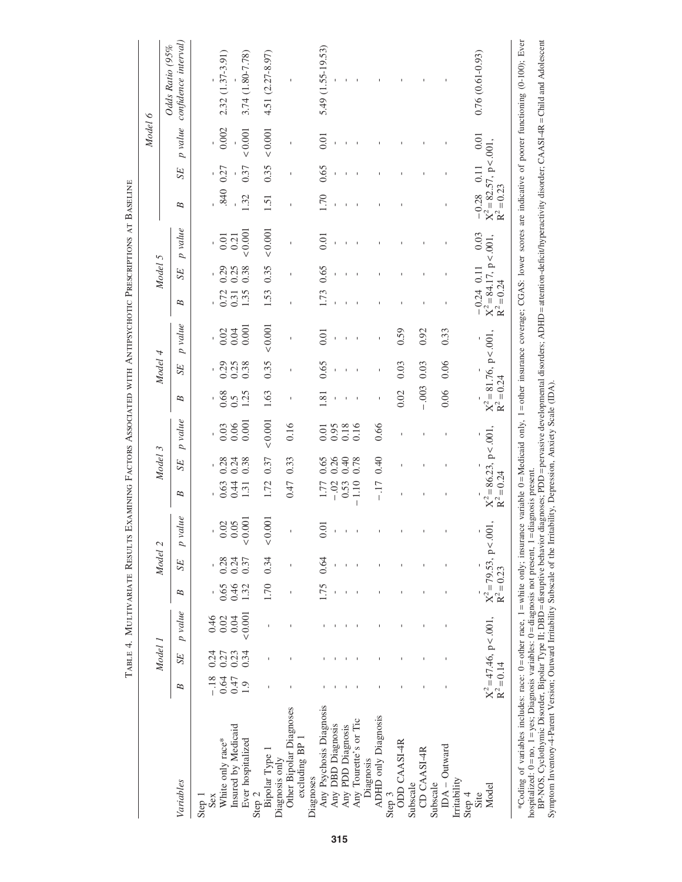| p value<br>0.002<br>&0.001<br>&0.001<br>0.01<br>$\overline{0.0}$<br>$X^2 = 82.57$ , $p < .001$ ,<br>$R^2 = 0.23$<br>0.35<br>0.65<br>0.11<br>0.37<br>0.27<br><b>SE</b><br>I,<br>.840<br>$-0.28$<br>1.32<br>0(1)<br>1.51<br>B<br>p value<br>&0.001<br>< 0.001<br>0.03<br>0.21<br>0.01<br>$\leq$ .001,<br>$\overline{0.0}$<br>ı<br>Model 5<br>$X^2 = 84.17$ , p <<br>R <sup>2</sup> = 0.24<br>0.35<br>0.25<br>0.38<br>0.65<br>0.29<br>$-0.24$ 0.11<br>SE <sub></sub><br>1.73<br>1.53<br>$\begin{array}{c} 0.72 \\ 0.31 \\ 1.35 \end{array}$<br>B<br>p value<br>< 0.001<br>0.001<br>0.92<br>$0.02\,$<br>0.04<br>0.59<br>0.33<br>0.01<br>$X^2 = 81.76$ , $p < .001$ ,<br>0.35<br>0.06<br>0.03<br>$0.29$<br>$0.25$<br>0.38<br>0.65<br>0.03<br><b>SE</b><br>$-.003$<br>0.06<br>1.63<br>0.02<br>$0.68$<br>$0.5$<br>$1.25$<br>$\frac{1}{2}$<br>B<br>I,<br>p value<br>< 0.001<br>0.001<br>0.16<br>0.06<br>0.66<br>0.03<br>$\begin{array}{c} 0.01 \\ 0.95 \\ 0.18 \end{array}$<br>0.16<br>$X^2 = 86.23$ , $p < .001$<br>$R^2 = 0.24$<br>0.37<br>0.33<br>0.40<br>0.26<br>0.40<br>0.24<br>0.38<br>0.65<br>0.78<br>0.28<br>SE <sub></sub><br>1.72<br>0.47<br>$-17$<br>$-1.10$<br>0.63<br>0.44<br>$-0.02$<br>0.53<br>1.77<br>1.31<br>B<br>$p\ value$<br>$\overline{0}$<br>.001<br>$X^2 = 79.53$ , $p < .001$ ,<br>$R^2 = 0.23$<br>0.05<br>0.02<br>0.01<br>$\mathsf{I}$<br>$\mathsf I$<br>$\mathsf I$<br>$\mathsf I$<br>I<br>I<br>$\frac{0}{\sqrt{2}}$<br>$\frac{0}{\sqrt{2}}$<br>Model 2<br>0.34<br>0.28<br>0.24<br>0.37<br>0.64<br><b>SE</b><br>I<br>1.70<br>.75<br>0.65<br>0.46<br>1.32<br>B<br>ı<br>p value<br>< 0.001<br>$0.02\,$<br>0.46<br>0.04<br>$X^2 = 47.46$ , $p < .001$ ,<br>$R^2 = 0.14$<br>ı<br>0.27<br>0.24<br>0.23<br>0.34<br><b>SE</b><br>$-.18$<br>0.64<br>0.47<br>1.9<br>B<br>Any Psychosis Diagnosis<br>Other Bipolar Diagnoses<br>ADHD only Diagnosis<br>Any Tourette's or Tic<br>Any DBD Diagnosis<br>Insured by Medicaid<br>Any PDD Diagnosis<br>excluding BP 1<br>White only race*<br>Ever hospitalized<br><b>ODD CAASI-4R</b><br>$\mathbb{D}\mathbb{A}$ – Outward<br>CD CAASI-4R<br>Bipolar Type<br>Diagnosis<br>Diagnosis only<br>Diagnoses<br>Irritability<br>Variables<br>Subscale<br>Subscale<br>Model<br>Step <sub>2</sub><br>Step 3<br>Step 4<br>Site<br>Sex<br>Step 1 |  | Model |  |  |                      | Model 3 |                  | Model 4 |  |  |  | Model 6 |                      |
|----------------------------------------------------------------------------------------------------------------------------------------------------------------------------------------------------------------------------------------------------------------------------------------------------------------------------------------------------------------------------------------------------------------------------------------------------------------------------------------------------------------------------------------------------------------------------------------------------------------------------------------------------------------------------------------------------------------------------------------------------------------------------------------------------------------------------------------------------------------------------------------------------------------------------------------------------------------------------------------------------------------------------------------------------------------------------------------------------------------------------------------------------------------------------------------------------------------------------------------------------------------------------------------------------------------------------------------------------------------------------------------------------------------------------------------------------------------------------------------------------------------------------------------------------------------------------------------------------------------------------------------------------------------------------------------------------------------------------------------------------------------------------------------------------------------------------------------------------------------------------------------------------------------------------------------------------------------------------------------------------------------------------------------------------------------------------------------------------------------------------------------------------------------------------------------------------------------------------------------------------------------------------------------|--|-------|--|--|----------------------|---------|------------------|---------|--|--|--|---------|----------------------|
|                                                                                                                                                                                                                                                                                                                                                                                                                                                                                                                                                                                                                                                                                                                                                                                                                                                                                                                                                                                                                                                                                                                                                                                                                                                                                                                                                                                                                                                                                                                                                                                                                                                                                                                                                                                                                                                                                                                                                                                                                                                                                                                                                                                                                                                                                        |  |       |  |  |                      |         |                  |         |  |  |  |         | Odds Ratio (95%      |
|                                                                                                                                                                                                                                                                                                                                                                                                                                                                                                                                                                                                                                                                                                                                                                                                                                                                                                                                                                                                                                                                                                                                                                                                                                                                                                                                                                                                                                                                                                                                                                                                                                                                                                                                                                                                                                                                                                                                                                                                                                                                                                                                                                                                                                                                                        |  |       |  |  |                      |         |                  |         |  |  |  |         | confidence interval) |
|                                                                                                                                                                                                                                                                                                                                                                                                                                                                                                                                                                                                                                                                                                                                                                                                                                                                                                                                                                                                                                                                                                                                                                                                                                                                                                                                                                                                                                                                                                                                                                                                                                                                                                                                                                                                                                                                                                                                                                                                                                                                                                                                                                                                                                                                                        |  |       |  |  |                      |         |                  |         |  |  |  |         |                      |
|                                                                                                                                                                                                                                                                                                                                                                                                                                                                                                                                                                                                                                                                                                                                                                                                                                                                                                                                                                                                                                                                                                                                                                                                                                                                                                                                                                                                                                                                                                                                                                                                                                                                                                                                                                                                                                                                                                                                                                                                                                                                                                                                                                                                                                                                                        |  |       |  |  |                      |         |                  |         |  |  |  |         |                      |
|                                                                                                                                                                                                                                                                                                                                                                                                                                                                                                                                                                                                                                                                                                                                                                                                                                                                                                                                                                                                                                                                                                                                                                                                                                                                                                                                                                                                                                                                                                                                                                                                                                                                                                                                                                                                                                                                                                                                                                                                                                                                                                                                                                                                                                                                                        |  |       |  |  |                      |         |                  |         |  |  |  |         | 2.32 (1.37-3.91)     |
|                                                                                                                                                                                                                                                                                                                                                                                                                                                                                                                                                                                                                                                                                                                                                                                                                                                                                                                                                                                                                                                                                                                                                                                                                                                                                                                                                                                                                                                                                                                                                                                                                                                                                                                                                                                                                                                                                                                                                                                                                                                                                                                                                                                                                                                                                        |  |       |  |  |                      |         |                  |         |  |  |  |         | 3.74 (1.80-7.78)     |
|                                                                                                                                                                                                                                                                                                                                                                                                                                                                                                                                                                                                                                                                                                                                                                                                                                                                                                                                                                                                                                                                                                                                                                                                                                                                                                                                                                                                                                                                                                                                                                                                                                                                                                                                                                                                                                                                                                                                                                                                                                                                                                                                                                                                                                                                                        |  |       |  |  |                      |         |                  |         |  |  |  |         |                      |
|                                                                                                                                                                                                                                                                                                                                                                                                                                                                                                                                                                                                                                                                                                                                                                                                                                                                                                                                                                                                                                                                                                                                                                                                                                                                                                                                                                                                                                                                                                                                                                                                                                                                                                                                                                                                                                                                                                                                                                                                                                                                                                                                                                                                                                                                                        |  |       |  |  |                      |         |                  |         |  |  |  |         | 4.51 (2.27-8.97)     |
|                                                                                                                                                                                                                                                                                                                                                                                                                                                                                                                                                                                                                                                                                                                                                                                                                                                                                                                                                                                                                                                                                                                                                                                                                                                                                                                                                                                                                                                                                                                                                                                                                                                                                                                                                                                                                                                                                                                                                                                                                                                                                                                                                                                                                                                                                        |  |       |  |  |                      |         |                  |         |  |  |  |         | I,                   |
|                                                                                                                                                                                                                                                                                                                                                                                                                                                                                                                                                                                                                                                                                                                                                                                                                                                                                                                                                                                                                                                                                                                                                                                                                                                                                                                                                                                                                                                                                                                                                                                                                                                                                                                                                                                                                                                                                                                                                                                                                                                                                                                                                                                                                                                                                        |  |       |  |  |                      |         |                  |         |  |  |  |         |                      |
|                                                                                                                                                                                                                                                                                                                                                                                                                                                                                                                                                                                                                                                                                                                                                                                                                                                                                                                                                                                                                                                                                                                                                                                                                                                                                                                                                                                                                                                                                                                                                                                                                                                                                                                                                                                                                                                                                                                                                                                                                                                                                                                                                                                                                                                                                        |  |       |  |  |                      |         |                  |         |  |  |  |         |                      |
|                                                                                                                                                                                                                                                                                                                                                                                                                                                                                                                                                                                                                                                                                                                                                                                                                                                                                                                                                                                                                                                                                                                                                                                                                                                                                                                                                                                                                                                                                                                                                                                                                                                                                                                                                                                                                                                                                                                                                                                                                                                                                                                                                                                                                                                                                        |  |       |  |  |                      |         |                  |         |  |  |  |         | 5.49 (1.55-19.53)    |
|                                                                                                                                                                                                                                                                                                                                                                                                                                                                                                                                                                                                                                                                                                                                                                                                                                                                                                                                                                                                                                                                                                                                                                                                                                                                                                                                                                                                                                                                                                                                                                                                                                                                                                                                                                                                                                                                                                                                                                                                                                                                                                                                                                                                                                                                                        |  |       |  |  |                      |         |                  |         |  |  |  |         |                      |
|                                                                                                                                                                                                                                                                                                                                                                                                                                                                                                                                                                                                                                                                                                                                                                                                                                                                                                                                                                                                                                                                                                                                                                                                                                                                                                                                                                                                                                                                                                                                                                                                                                                                                                                                                                                                                                                                                                                                                                                                                                                                                                                                                                                                                                                                                        |  |       |  |  |                      |         |                  |         |  |  |  |         |                      |
|                                                                                                                                                                                                                                                                                                                                                                                                                                                                                                                                                                                                                                                                                                                                                                                                                                                                                                                                                                                                                                                                                                                                                                                                                                                                                                                                                                                                                                                                                                                                                                                                                                                                                                                                                                                                                                                                                                                                                                                                                                                                                                                                                                                                                                                                                        |  |       |  |  |                      |         |                  |         |  |  |  |         |                      |
|                                                                                                                                                                                                                                                                                                                                                                                                                                                                                                                                                                                                                                                                                                                                                                                                                                                                                                                                                                                                                                                                                                                                                                                                                                                                                                                                                                                                                                                                                                                                                                                                                                                                                                                                                                                                                                                                                                                                                                                                                                                                                                                                                                                                                                                                                        |  |       |  |  |                      |         |                  |         |  |  |  |         |                      |
|                                                                                                                                                                                                                                                                                                                                                                                                                                                                                                                                                                                                                                                                                                                                                                                                                                                                                                                                                                                                                                                                                                                                                                                                                                                                                                                                                                                                                                                                                                                                                                                                                                                                                                                                                                                                                                                                                                                                                                                                                                                                                                                                                                                                                                                                                        |  |       |  |  |                      |         |                  |         |  |  |  |         |                      |
|                                                                                                                                                                                                                                                                                                                                                                                                                                                                                                                                                                                                                                                                                                                                                                                                                                                                                                                                                                                                                                                                                                                                                                                                                                                                                                                                                                                                                                                                                                                                                                                                                                                                                                                                                                                                                                                                                                                                                                                                                                                                                                                                                                                                                                                                                        |  |       |  |  |                      |         |                  |         |  |  |  |         |                      |
|                                                                                                                                                                                                                                                                                                                                                                                                                                                                                                                                                                                                                                                                                                                                                                                                                                                                                                                                                                                                                                                                                                                                                                                                                                                                                                                                                                                                                                                                                                                                                                                                                                                                                                                                                                                                                                                                                                                                                                                                                                                                                                                                                                                                                                                                                        |  |       |  |  |                      |         |                  |         |  |  |  |         |                      |
|                                                                                                                                                                                                                                                                                                                                                                                                                                                                                                                                                                                                                                                                                                                                                                                                                                                                                                                                                                                                                                                                                                                                                                                                                                                                                                                                                                                                                                                                                                                                                                                                                                                                                                                                                                                                                                                                                                                                                                                                                                                                                                                                                                                                                                                                                        |  |       |  |  |                      |         |                  |         |  |  |  |         |                      |
|                                                                                                                                                                                                                                                                                                                                                                                                                                                                                                                                                                                                                                                                                                                                                                                                                                                                                                                                                                                                                                                                                                                                                                                                                                                                                                                                                                                                                                                                                                                                                                                                                                                                                                                                                                                                                                                                                                                                                                                                                                                                                                                                                                                                                                                                                        |  |       |  |  |                      |         |                  |         |  |  |  |         |                      |
|                                                                                                                                                                                                                                                                                                                                                                                                                                                                                                                                                                                                                                                                                                                                                                                                                                                                                                                                                                                                                                                                                                                                                                                                                                                                                                                                                                                                                                                                                                                                                                                                                                                                                                                                                                                                                                                                                                                                                                                                                                                                                                                                                                                                                                                                                        |  |       |  |  |                      |         |                  |         |  |  |  |         |                      |
|                                                                                                                                                                                                                                                                                                                                                                                                                                                                                                                                                                                                                                                                                                                                                                                                                                                                                                                                                                                                                                                                                                                                                                                                                                                                                                                                                                                                                                                                                                                                                                                                                                                                                                                                                                                                                                                                                                                                                                                                                                                                                                                                                                                                                                                                                        |  |       |  |  |                      |         |                  |         |  |  |  |         |                      |
|                                                                                                                                                                                                                                                                                                                                                                                                                                                                                                                                                                                                                                                                                                                                                                                                                                                                                                                                                                                                                                                                                                                                                                                                                                                                                                                                                                                                                                                                                                                                                                                                                                                                                                                                                                                                                                                                                                                                                                                                                                                                                                                                                                                                                                                                                        |  |       |  |  |                      |         |                  |         |  |  |  |         | $0.76(0.61 - 0.93)$  |
| $e = 0.24$                                                                                                                                                                                                                                                                                                                                                                                                                                                                                                                                                                                                                                                                                                                                                                                                                                                                                                                                                                                                                                                                                                                                                                                                                                                                                                                                                                                                                                                                                                                                                                                                                                                                                                                                                                                                                                                                                                                                                                                                                                                                                                                                                                                                                                                                             |  |       |  |  | $\mathbf{\hat{R}}^2$ |         | $\overline{R}^2$ |         |  |  |  |         |                      |

AT BASELINE Table 4. Multivariate Results Examining Factors Associated with Antipsychotic Prescriptions at Baseline **TONS**  $T_{\text{IT}}$   $\overline{P_{\text{R}}}$  $\Delta N$ FЩ  $\tilde{\mathbf{z}}$  $\overline{r}$  $\tau_{\rm TOR}$  asset **AMINING FA** THE RESILT TS  $\mathbf{F}$   $\mathbf{v}$  $T$ ARLE 4. MILTIVARIA

BP-NOS, Cyclothymic Disorder, Bipolar Type II; DBD = disruptive behavior diagnoses; PDD= pervasive developmental disorders; ADHD = attention-deficit/hyperactivity disorder; CAASI-4R = Child and Adolescent<br>Symptom Inventor BP-NOS, Cyclothymic Disorder, Bipolar Type II; DBD = disruptive behavior diagnoses; PDD = pervasive developmental disorders; ADHD = attention-deficit/hyperactivity disorder; CAASI-4R=Child and Adolescent Symptom Inventory-4-Parent Version; Outward Irritability Subscale of the Irritability, Depression, Anxiety Scale (IDA).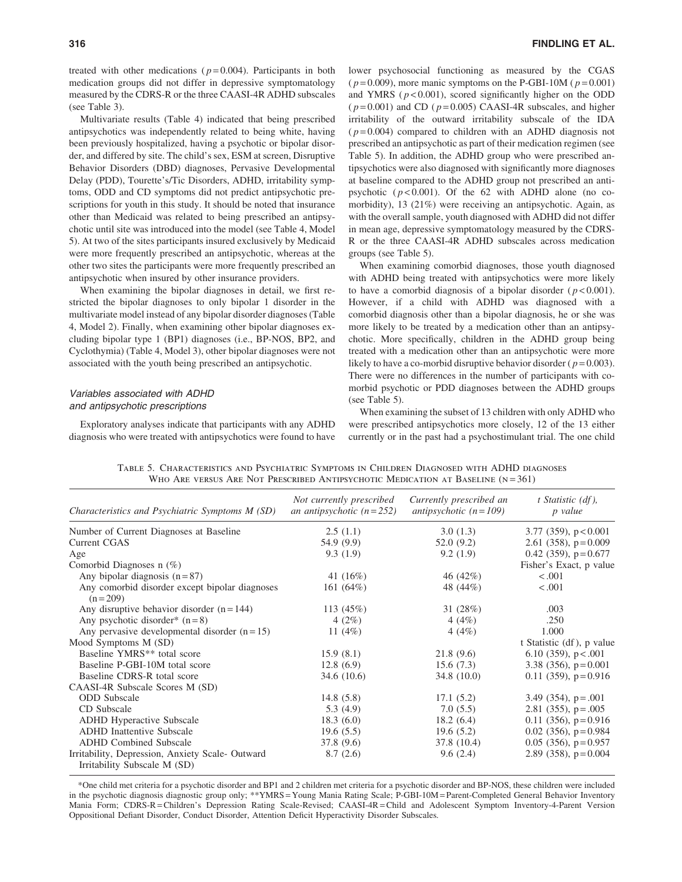Multivariate results (Table 4) indicated that being prescribed antipsychotics was independently related to being white, having been previously hospitalized, having a psychotic or bipolar disorder, and differed by site. The child's sex, ESM at screen, Disruptive Behavior Disorders (DBD) diagnoses, Pervasive Developmental Delay (PDD), Tourette's/Tic Disorders, ADHD, irritability symptoms, ODD and CD symptoms did not predict antipsychotic prescriptions for youth in this study. It should be noted that insurance other than Medicaid was related to being prescribed an antipsychotic until site was introduced into the model (see Table 4, Model 5). At two of the sites participants insured exclusively by Medicaid were more frequently prescribed an antipsychotic, whereas at the other two sites the participants were more frequently prescribed an antipsychotic when insured by other insurance providers.

When examining the bipolar diagnoses in detail, we first restricted the bipolar diagnoses to only bipolar 1 disorder in the multivariate model instead of any bipolar disorder diagnoses (Table 4, Model 2). Finally, when examining other bipolar diagnoses excluding bipolar type 1 (BP1) diagnoses (i.e., BP-NOS, BP2, and Cyclothymia) (Table 4, Model 3), other bipolar diagnoses were not associated with the youth being prescribed an antipsychotic.

# Variables associated with ADHD and antipsychotic prescriptions

Exploratory analyses indicate that participants with any ADHD diagnosis who were treated with antipsychotics were found to have lower psychosocial functioning as measured by the CGAS  $(p=0.009)$ , more manic symptoms on the P-GBI-10M ( $p=0.001$ ) and YMRS ( $p < 0.001$ ), scored significantly higher on the ODD  $(p=0.001)$  and CD  $(p=0.005)$  CAASI-4R subscales, and higher irritability of the outward irritability subscale of the IDA  $(p=0.004)$  compared to children with an ADHD diagnosis not prescribed an antipsychotic as part of their medication regimen (see Table 5). In addition, the ADHD group who were prescribed antipsychotics were also diagnosed with significantly more diagnoses at baseline compared to the ADHD group not prescribed an antipsychotic  $(p < 0.001)$ . Of the 62 with ADHD alone (no comorbidity), 13 (21%) were receiving an antipsychotic. Again, as with the overall sample, youth diagnosed with ADHD did not differ in mean age, depressive symptomatology measured by the CDRS-R or the three CAASI-4R ADHD subscales across medication groups (see Table 5).

When examining comorbid diagnoses, those youth diagnosed with ADHD being treated with antipsychotics were more likely to have a comorbid diagnosis of a bipolar disorder ( $p < 0.001$ ). However, if a child with ADHD was diagnosed with a comorbid diagnosis other than a bipolar diagnosis, he or she was more likely to be treated by a medication other than an antipsychotic. More specifically, children in the ADHD group being treated with a medication other than an antipsychotic were more likely to have a co-morbid disruptive behavior disorder ( $p = 0.003$ ). There were no differences in the number of participants with comorbid psychotic or PDD diagnoses between the ADHD groups (see Table 5).

When examining the subset of 13 children with only ADHD who were prescribed antipsychotics more closely, 12 of the 13 either currently or in the past had a psychostimulant trial. The one child

Characteristics and Psychiatric Symptoms M (SD) Not currently prescribed an antipsychotic  $(n=252)$ Currently prescribed an antipsychotic  $(n = 109)$ t Statistic (df ), p value Number of Current Diagnoses at Baseline 2.5 (1.1) 3.0 (1.3) 3.77 (359), p < 0.001 Current CGAS 54.9 (9.9) 52.0 (9.2) 2.61 (358), p=0.009 Age 9.3 (1.9) 9.3 (1.9) 9.2 (1.9) 9.2 (1.9) 9.2 (1.9) 9.2 (359), p=0.677 Comorbid Diagnoses n (%) Comorbid Diagnoses n  $(\%)$ Any bipolar diagnosis  $(n = 87)$  41 (16%) 46 (42%) 46 (42%) < .001 Any comorbid disorder except bipolar diagnoses  $(n = 209)$ 161 (64%) 48 (44%) < .001 Any disruptive behavior disorder  $(n=144)$  113 (45%) 31 (28%) .003 Any psychotic disorder\*  $(n=8)$  4 (2%) 4 (4%) .250 Any pervasive developmental disorder  $(n=15)$  11 (4%) 4 (4%) 1.000<br>ood Symptoms M (SD) t Statistic (df), p value Mood Symptoms M (SD) Baseline YMRS\*\* total score 15.9 (8.1) 21.8 (9.6) 6.10 (359), p < .001 Baseline P-GBI-10M total score 12.8 (6.9) 15.6 (7.3) 3.38 (356), p=0.001 Baseline CDRS-R total score 34.6 (10.6) 34.8 (10.0) 0.11 (359), p=0.916 CAASI-4R Subscale Scores M (SD) ODD Subscale 14.8 (5.8) 17.1 (5.2) 3.49 (354), p = .001 CD Subscale  $5.3 (4.9)$   $7.0 (5.5)$   $2.81 (355), p = .005$ ADHD Hyperactive Subscale 18.3 (6.0) 18.3 (6.0) 18.2 (6.4) 0.11 (356), p=0.916 ADHD Inattentive Subscale 19.6 (5.5) 19.6 (5.5) 19.6 (5.2) 0.02 (356), p=0.984 ADHD Combined Subscale 37.8 (9.6) 37.8 (9.6) 37.8 (10.4) 0.05 (356), p=0.957 Irritability, Depression, Anxiety Scale- Outward Irritability Subscale M (SD) 8.7 (2.6) 9.6 (2.4) 2.89 (358),  $p=0.004$ 

Table 5. Characteristics and Psychiatric Symptoms in Children Diagnosed with ADHD diagnoses Who Are versus Are Not Prescribed Antipsychotic Medication at Baseline  $(N = 361)$ 

\*One child met criteria for a psychotic disorder and BP1 and 2 children met criteria for a psychotic disorder and BP-NOS, these children were included in the psychotic diagnosis diagnostic group only; \*\*YMRS=Young Mania Rating Scale; P-GBI-10M=Parent-Completed General Behavior Inventory Mania Form; CDRS-R=Children's Depression Rating Scale-Revised; CAASI-4R=Child and Adolescent Symptom Inventory-4-Parent Version Oppositional Defiant Disorder, Conduct Disorder, Attention Deficit Hyperactivity Disorder Subscales.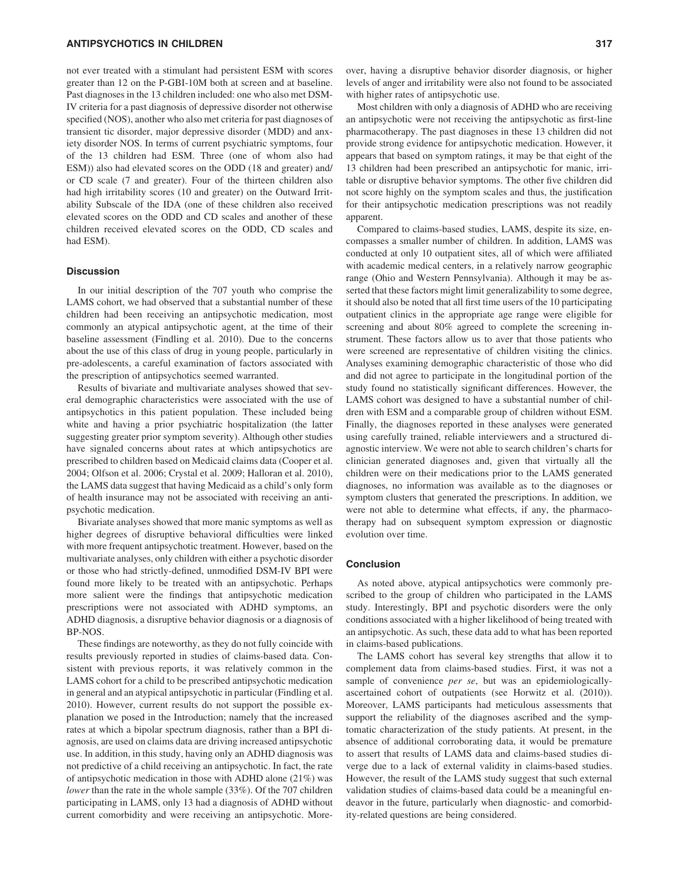# ANTIPSYCHOTICS IN CHILDREN 317

not ever treated with a stimulant had persistent ESM with scores greater than 12 on the P-GBI-10M both at screen and at baseline. Past diagnoses in the 13 children included: one who also met DSM-IV criteria for a past diagnosis of depressive disorder not otherwise specified (NOS), another who also met criteria for past diagnoses of transient tic disorder, major depressive disorder (MDD) and anxiety disorder NOS. In terms of current psychiatric symptoms, four of the 13 children had ESM. Three (one of whom also had ESM)) also had elevated scores on the ODD (18 and greater) and/ or CD scale (7 and greater). Four of the thirteen children also had high irritability scores (10 and greater) on the Outward Irritability Subscale of the IDA (one of these children also received elevated scores on the ODD and CD scales and another of these children received elevated scores on the ODD, CD scales and had ESM).

## **Discussion**

In our initial description of the 707 youth who comprise the LAMS cohort, we had observed that a substantial number of these children had been receiving an antipsychotic medication, most commonly an atypical antipsychotic agent, at the time of their baseline assessment (Findling et al. 2010). Due to the concerns about the use of this class of drug in young people, particularly in pre-adolescents, a careful examination of factors associated with the prescription of antipsychotics seemed warranted.

Results of bivariate and multivariate analyses showed that several demographic characteristics were associated with the use of antipsychotics in this patient population. These included being white and having a prior psychiatric hospitalization (the latter suggesting greater prior symptom severity). Although other studies have signaled concerns about rates at which antipsychotics are prescribed to children based on Medicaid claims data (Cooper et al. 2004; Olfson et al. 2006; Crystal et al. 2009; Halloran et al. 2010), the LAMS data suggest that having Medicaid as a child's only form of health insurance may not be associated with receiving an antipsychotic medication.

Bivariate analyses showed that more manic symptoms as well as higher degrees of disruptive behavioral difficulties were linked with more frequent antipsychotic treatment. However, based on the multivariate analyses, only children with either a psychotic disorder or those who had strictly-defined, unmodified DSM-IV BPI were found more likely to be treated with an antipsychotic. Perhaps more salient were the findings that antipsychotic medication prescriptions were not associated with ADHD symptoms, an ADHD diagnosis, a disruptive behavior diagnosis or a diagnosis of BP-NOS.

These findings are noteworthy, as they do not fully coincide with results previously reported in studies of claims-based data. Consistent with previous reports, it was relatively common in the LAMS cohort for a child to be prescribed antipsychotic medication in general and an atypical antipsychotic in particular (Findling et al. 2010). However, current results do not support the possible explanation we posed in the Introduction; namely that the increased rates at which a bipolar spectrum diagnosis, rather than a BPI diagnosis, are used on claims data are driving increased antipsychotic use. In addition, in this study, having only an ADHD diagnosis was not predictive of a child receiving an antipsychotic. In fact, the rate of antipsychotic medication in those with ADHD alone (21%) was lower than the rate in the whole sample (33%). Of the 707 children participating in LAMS, only 13 had a diagnosis of ADHD without current comorbidity and were receiving an antipsychotic. Moreover, having a disruptive behavior disorder diagnosis, or higher levels of anger and irritability were also not found to be associated with higher rates of antipsychotic use.

Most children with only a diagnosis of ADHD who are receiving an antipsychotic were not receiving the antipsychotic as first-line pharmacotherapy. The past diagnoses in these 13 children did not provide strong evidence for antipsychotic medication. However, it appears that based on symptom ratings, it may be that eight of the 13 children had been prescribed an antipsychotic for manic, irritable or disruptive behavior symptoms. The other five children did not score highly on the symptom scales and thus, the justification for their antipsychotic medication prescriptions was not readily apparent.

Compared to claims-based studies, LAMS, despite its size, encompasses a smaller number of children. In addition, LAMS was conducted at only 10 outpatient sites, all of which were affiliated with academic medical centers, in a relatively narrow geographic range (Ohio and Western Pennsylvania). Although it may be asserted that these factors might limit generalizability to some degree, it should also be noted that all first time users of the 10 participating outpatient clinics in the appropriate age range were eligible for screening and about 80% agreed to complete the screening instrument. These factors allow us to aver that those patients who were screened are representative of children visiting the clinics. Analyses examining demographic characteristic of those who did and did not agree to participate in the longitudinal portion of the study found no statistically significant differences. However, the LAMS cohort was designed to have a substantial number of children with ESM and a comparable group of children without ESM. Finally, the diagnoses reported in these analyses were generated using carefully trained, reliable interviewers and a structured diagnostic interview. We were not able to search children's charts for clinician generated diagnoses and, given that virtually all the children were on their medications prior to the LAMS generated diagnoses, no information was available as to the diagnoses or symptom clusters that generated the prescriptions. In addition, we were not able to determine what effects, if any, the pharmacotherapy had on subsequent symptom expression or diagnostic evolution over time.

# Conclusion

As noted above, atypical antipsychotics were commonly prescribed to the group of children who participated in the LAMS study. Interestingly, BPI and psychotic disorders were the only conditions associated with a higher likelihood of being treated with an antipsychotic. As such, these data add to what has been reported in claims-based publications.

The LAMS cohort has several key strengths that allow it to complement data from claims-based studies. First, it was not a sample of convenience *per se*, but was an epidemiologicallyascertained cohort of outpatients (see Horwitz et al. (2010)). Moreover, LAMS participants had meticulous assessments that support the reliability of the diagnoses ascribed and the symptomatic characterization of the study patients. At present, in the absence of additional corroborating data, it would be premature to assert that results of LAMS data and claims-based studies diverge due to a lack of external validity in claims-based studies. However, the result of the LAMS study suggest that such external validation studies of claims-based data could be a meaningful endeavor in the future, particularly when diagnostic- and comorbidity-related questions are being considered.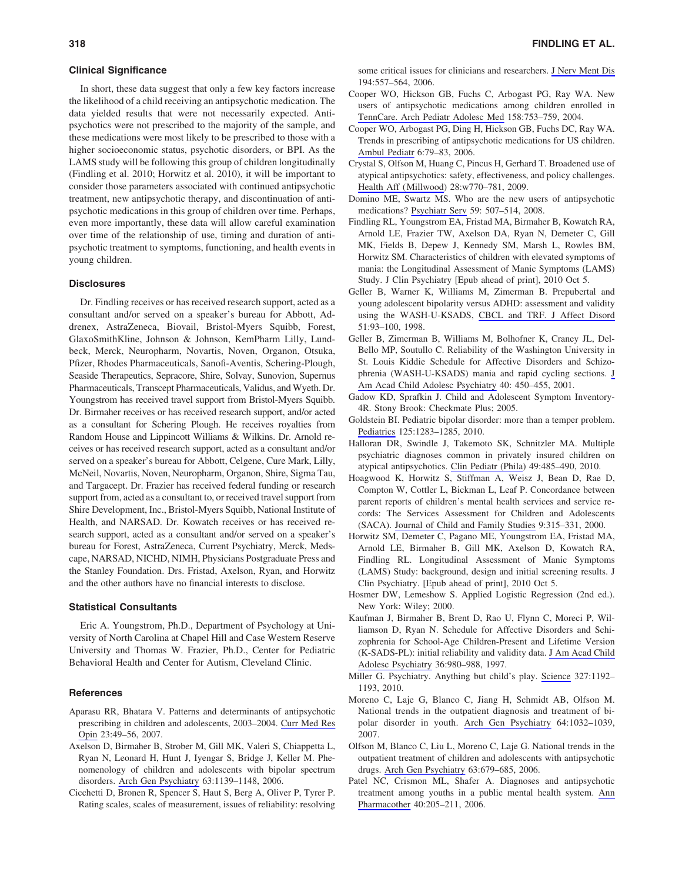#### Clinical Significance

In short, these data suggest that only a few key factors increase the likelihood of a child receiving an antipsychotic medication. The data yielded results that were not necessarily expected. Antipsychotics were not prescribed to the majority of the sample, and these medications were most likely to be prescribed to those with a higher socioeconomic status, psychotic disorders, or BPI. As the LAMS study will be following this group of children longitudinally (Findling et al. 2010; Horwitz et al. 2010), it will be important to consider those parameters associated with continued antipsychotic treatment, new antipsychotic therapy, and discontinuation of antipsychotic medications in this group of children over time. Perhaps, even more importantly, these data will allow careful examination over time of the relationship of use, timing and duration of antipsychotic treatment to symptoms, functioning, and health events in young children.

#### **Disclosures**

Dr. Findling receives or has received research support, acted as a consultant and/or served on a speaker's bureau for Abbott, Addrenex, AstraZeneca, Biovail, Bristol-Myers Squibb, Forest, GlaxoSmithKline, Johnson & Johnson, KemPharm Lilly, Lundbeck, Merck, Neuropharm, Novartis, Noven, Organon, Otsuka, Pfizer, Rhodes Pharmaceuticals, Sanofi-Aventis, Schering-Plough, Seaside Therapeutics, Sepracore, Shire, Solvay, Sunovion, Supernus Pharmaceuticals, Transcept Pharmaceuticals, Validus, and Wyeth. Dr. Youngstrom has received travel support from Bristol-Myers Squibb. Dr. Birmaher receives or has received research support, and/or acted as a consultant for Schering Plough. He receives royalties from Random House and Lippincott Williams & Wilkins. Dr. Arnold receives or has received research support, acted as a consultant and/or served on a speaker's bureau for Abbott, Celgene, Cure Mark, Lilly, McNeil, Novartis, Noven, Neuropharm, Organon, Shire, Sigma Tau, and Targacept. Dr. Frazier has received federal funding or research support from, acted as a consultant to, or received travel support from Shire Development, Inc., Bristol-Myers Squibb, National Institute of Health, and NARSAD. Dr. Kowatch receives or has received research support, acted as a consultant and/or served on a speaker's bureau for Forest, AstraZeneca, Current Psychiatry, Merck, Medscape, NARSAD, NICHD, NIMH, Physicians Postgraduate Press and the Stanley Foundation. Drs. Fristad, Axelson, Ryan, and Horwitz and the other authors have no financial interests to disclose.

#### Statistical Consultants

Eric A. Youngstrom, Ph.D., Department of Psychology at University of North Carolina at Chapel Hill and Case Western Reserve University and Thomas W. Frazier, Ph.D., Center for Pediatric Behavioral Health and Center for Autism, Cleveland Clinic.

#### **References**

- Aparasu RR, Bhatara V. Patterns and determinants of antipsychotic prescribing in children and adolescents, 2003–2004. Curr Med Res Opin 23:49–56, 2007.
- Axelson D, Birmaher B, Strober M, Gill MK, Valeri S, Chiappetta L, Ryan N, Leonard H, Hunt J, Iyengar S, Bridge J, Keller M. Phenomenology of children and adolescents with bipolar spectrum disorders. Arch Gen Psychiatry 63:1139–1148, 2006.
- Cicchetti D, Bronen R, Spencer S, Haut S, Berg A, Oliver P, Tyrer P. Rating scales, scales of measurement, issues of reliability: resolving

some critical issues for clinicians and researchers. J Nerv Ment Dis 194:557–564, 2006.

- Cooper WO, Hickson GB, Fuchs C, Arbogast PG, Ray WA. New users of antipsychotic medications among children enrolled in TennCare. Arch Pediatr Adolesc Med 158:753–759, 2004.
- Cooper WO, Arbogast PG, Ding H, Hickson GB, Fuchs DC, Ray WA. Trends in prescribing of antipsychotic medications for US children. Ambul Pediatr 6:79–83, 2006.
- Crystal S, Olfson M, Huang C, Pincus H, Gerhard T. Broadened use of atypical antipsychotics: safety, effectiveness, and policy challenges. Health Aff (Millwood) 28:w770–781, 2009.
- Domino ME, Swartz MS. Who are the new users of antipsychotic medications? Psychiatr Serv 59: 507–514, 2008.
- Findling RL, Youngstrom EA, Fristad MA, Birmaher B, Kowatch RA, Arnold LE, Frazier TW, Axelson DA, Ryan N, Demeter C, Gill MK, Fields B, Depew J, Kennedy SM, Marsh L, Rowles BM, Horwitz SM. Characteristics of children with elevated symptoms of mania: the Longitudinal Assessment of Manic Symptoms (LAMS) Study. J Clin Psychiatry [Epub ahead of print], 2010 Oct 5.
- Geller B, Warner K, Williams M, Zimerman B. Prepubertal and young adolescent bipolarity versus ADHD: assessment and validity using the WASH-U-KSADS, CBCL and TRF. J Affect Disord 51:93–100, 1998.
- Geller B, Zimerman B, Williams M, Bolhofner K, Craney JL, Del-Bello MP, Soutullo C. Reliability of the Washington University in St. Louis Kiddie Schedule for Affective Disorders and Schizophrenia (WASH-U-KSADS) mania and rapid cycling sections. J Am Acad Child Adolesc Psychiatry 40: 450–455, 2001.
- Gadow KD, Sprafkin J. Child and Adolescent Symptom Inventory-4R. Stony Brook: Checkmate Plus; 2005.
- Goldstein BI. Pediatric bipolar disorder: more than a temper problem. Pediatrics 125:1283–1285, 2010.
- Halloran DR, Swindle J, Takemoto SK, Schnitzler MA. Multiple psychiatric diagnoses common in privately insured children on atypical antipsychotics. Clin Pediatr (Phila) 49:485–490, 2010.
- Hoagwood K, Horwitz S, Stiffman A, Weisz J, Bean D, Rae D, Compton W, Cottler L, Bickman L, Leaf P. Concordance between parent reports of children's mental health services and service records: The Services Assessment for Children and Adolescents (SACA). Journal of Child and Family Studies 9:315–331, 2000.
- Horwitz SM, Demeter C, Pagano ME, Youngstrom EA, Fristad MA, Arnold LE, Birmaher B, Gill MK, Axelson D, Kowatch RA, Findling RL. Longitudinal Assessment of Manic Symptoms (LAMS) Study: background, design and initial screening results. J Clin Psychiatry. [Epub ahead of print], 2010 Oct 5.
- Hosmer DW, Lemeshow S. Applied Logistic Regression (2nd ed.). New York: Wiley; 2000.
- Kaufman J, Birmaher B, Brent D, Rao U, Flynn C, Moreci P, Williamson D, Ryan N. Schedule for Affective Disorders and Schizophrenia for School-Age Children-Present and Lifetime Version (K-SADS-PL): initial reliability and validity data. J Am Acad Child Adolesc Psychiatry 36:980–988, 1997.
- Miller G. Psychiatry. Anything but child's play. Science 327:1192– 1193, 2010.
- Moreno C, Laje G, Blanco C, Jiang H, Schmidt AB, Olfson M. National trends in the outpatient diagnosis and treatment of bipolar disorder in youth. Arch Gen Psychiatry 64:1032–1039, 2007.
- Olfson M, Blanco C, Liu L, Moreno C, Laje G. National trends in the outpatient treatment of children and adolescents with antipsychotic drugs. Arch Gen Psychiatry 63:679–685, 2006.
- Patel NC, Crismon ML, Shafer A. Diagnoses and antipsychotic treatment among youths in a public mental health system. Ann Pharmacother 40:205–211, 2006.